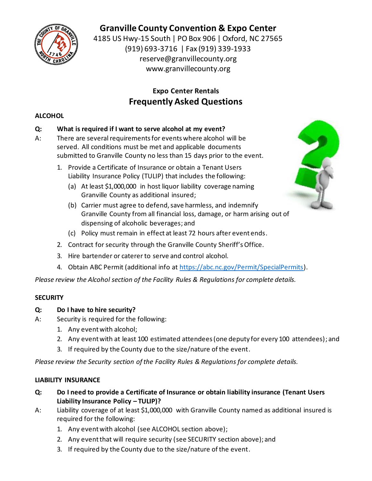

# **Granville County Convention & Expo Center**

4185 US Hwy-15 South | PO Box 906 | Oxford, NC 27565 (919) 693-3716 | Fax (919) 339-1933 reserve@granvillecounty.org www.granvillecounty.org

## **Expo Center Rentals Frequently Asked Questions**

## **ALCOHOL**

## **Q: What is required if I want to serve alcohol at my event?**

- A: There are several requirements for events where alcohol will be served. All conditions must be met and applicable documents submitted to Granville County no less than 15 days prior to the event.
	- 1. Provide a Certificate of Insurance or obtain a Tenant Users Liability Insurance Policy (TULIP) that includes the following:
		- (a) At least \$1,000,000 in host liquor liability coverage naming Granville County as additional insured;
		- (b) Carrier must agree to defend, save harmless, and indemnify Granville County from all financial loss, damage, or harm arising out of dispensing of alcoholic beverages; and
		- (c) Policy must remain in effect at least 72 hours after event ends.
	- 2. Contract for security through the Granville County Sheriff's Office.
	- 3. Hire bartender or caterer to serve and control alcohol.
	- 4. Obtain ABC Permit (additional info at [https://abc.nc.gov/Permit/SpecialPermits\)](https://abc.nc.gov/Permit/SpecialPermits).

*Please review the Alcohol section of the Facility Rules & Regulations for complete details.* 

## **SECURITY**

- **Q: Do I have to hire security?**
- A: Security is required for the following:
	- 1. Any event with alcohol;
	- 2. Any event with at least 100 estimated attendees (one deputy for every 100 attendees); and
	- 3. If required by the County due to the size/nature of the event.

*Please review the Security section of the Facility Rules & Regulations for complete details.* 

#### **LIABILITY INSURANCE**

- **Q: Do I need to provide a Certificate of Insurance or obtain liability insurance (Tenant Users Liability Insurance Policy – TULIP)?**
- A: Liability coverage of at least \$1,000,000 with Granville County named as additional insured is required for the following:
	- 1. Any event with alcohol (see ALCOHOL section above);
	- 2. Any event that will require security (see SECURITY section above); and
	- 3. If required by the County due to the size/nature of the event.

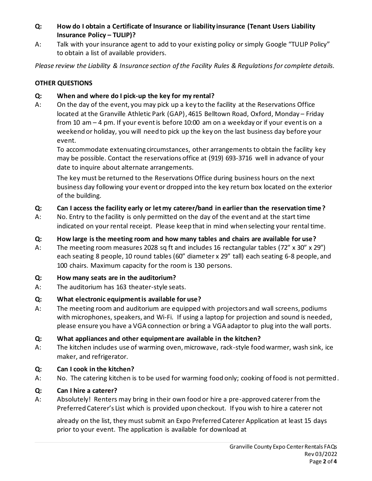- **Q: How do I obtain a Certificate of Insurance or liability insurance (Tenant Users Liability Insurance Policy - TULIP)?**
- A: Talk with your insurance agent to add to your existing policy or simply Google "TULIP Policy" to obtain a list of available providers.

*Please review the Liability & Insurance section of the Facility Rules & Regulations for complete details.* 

## **OTHER QUESTIONS**

#### **Q: When and where do I pick-up the key for my rental?**

A: On the day of the event, you may pick up a key to the facility at the Reservations Office located at the Granville Athletic Park (GAP), 4615 Belltown Road, Oxford, Monday – Friday from 10 am – 4 pm. If your event is before 10:00 am on a weekday or if your event is on a weekend or holiday, you will need to pick up the key on the last business day before your event.

To accommodate extenuating circumstances, other arrangements to obtain the facility key may be possible. Contact the reservations office at (919) 693-3716 well in advance of your date to inquire about alternate arrangements.

The key must be returned to the Reservations Office during business hours on the next business day following your event or dropped into the key return box located on the exterior of the building.

- **Q: Can I access the facility early or let my caterer/band in earlier than the reservation time?**
- A: No. Entry to the facility is only permitted on the day of the event and at the start time indicated on your rental receipt. Please keep that in mind when selecting your rental time.

#### **Q: How large is the meeting room and how many tables and chairs are available for use?**

A: The meeting room measures 2028 sq ft and includes 16 rectangular tables (72" x 30" x 29") each seating 8 people, 10 round tables (60" diameter x 29" tall) each seating 6-8 people, and 100 chairs. Maximum capacity for the room is 130 persons.

## **Q: How many seats are in the auditorium?**

A: The auditorium has 163 theater-style seats.

## **Q: What electronic equipment is available for use?**

A: The meeting room and auditorium are equipped with projectors and wall screens, podiums with microphones, speakers, and Wi-Fi. If using a laptop for projection and sound is needed, please ensure you have a VGA connection or bring a VGA adaptor to plug into the wall ports.

## **Q: What appliances and other equipment are available in the kitchen?**

A: The kitchen includes use of warming oven, microwave, rack-style food warmer, wash sink, ice maker, and refrigerator.

#### **Q: Can I cook in the kitchen?**

A: No. The catering kitchen is to be used for warming food only; cooking of food is not permitted.

#### **Q: Can I hire a caterer?**

A: Absolutely! Renters may bring in their own food or hire a pre-approved caterer from the Preferred Caterer's List which is provided upon checkout. If you wish to hire a caterer not

already on the list, they must submit an Expo Preferred Caterer Application at least 15 days prior to your event. The application is available for download at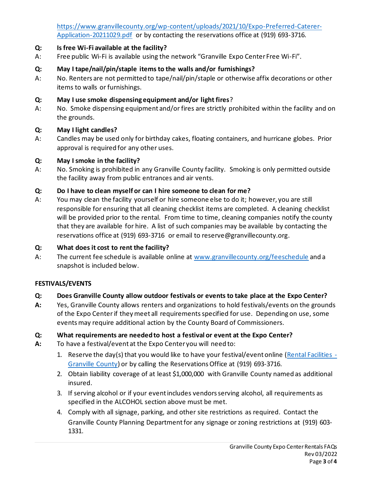[https://www.granvillecounty.org/wp-content/uploads/2021/10/Expo-Preferred-Caterer-](https://www.granvillecounty.org/wp-content/uploads/2021/10/Expo-Preferred-Caterer-Application-20211029.pdf)[Application-20211029.pdf](https://www.granvillecounty.org/wp-content/uploads/2021/10/Expo-Preferred-Caterer-Application-20211029.pdf) or by contacting the reservations office at (919) 693-3716.

## **Q: Is free Wi-Fi available at the facility?**

A: Free public Wi-Fi is available using the network "Granville Expo Center Free Wi-Fi".

## **Q: May I tape/nail/pin/staple items to the walls and/or furnishings?**

A: No. Renters are not permitted to tape/nail/pin/staple or otherwise affix decorations or other items to walls or furnishings.

## **Q: May I use smoke dispensing equipment and/or light fires**?

A: No. Smoke dispensing equipment and/or fires are strictly prohibited within the facility and on the grounds.

## **Q: May I light candles?**

A: Candles may be used only for birthday cakes, floating containers, and hurricane globes. Prior approval is required for any other uses.

#### **Q: May I smoke in the facility?**

A: No. Smoking is prohibited in any Granville County facility. Smoking is only permitted outside the facility away from public entrances and air vents.

#### **Q: Do I have to clean myself or can I hire someone to clean for me?**

A: You may clean the facility yourself or hire someone else to do it; however, you are still responsible for ensuring that all cleaning checklist items are completed. A cleaning checklist will be provided prior to the rental. From time to time, cleaning companies notify the county that they are available for hire. A list of such companies may be available by contacting the reservations office at (919) 693-3716 or email to reserve@granvillecounty.org.

## **Q: What does it cost to rent the facility?**

A: The current fee schedule is available online at [www.granvillecounty.org/feeschedule](http://www.granvillecounty.org/feeschedule) and a snapshot is included below.

## **FESTIVALS/EVENTS**

## **Q: Does Granville County allow outdoor festivals or events to take place at the Expo Center?**

**A:** Yes, Granville County allows renters and organizations to hold festivals/events on the grounds of the Expo Center if they meet all requirements specified for use. Depending on use, some events may require additional action by the County Board of Commissioners.

## **Q: What requirements are needed to host a festival or event at the Expo Center?**

- **A:** To have a festival/event at the Expo Center you will need to:
	- 1. Reserve the day(s) that you would like to have your festival/event online [\(Rental Facilities -](https://www.granvillecounty.org/residents/facility-rental/) [Granville County\)](https://www.granvillecounty.org/residents/facility-rental/) or by calling the Reservations Office at (919) 693-3716.
	- 2. Obtain liability coverage of at least \$1,000,000 with Granville County named as additional insured.
	- 3. If serving alcohol or if your event includes vendors serving alcohol, all requirements as specified in the ALCOHOL section above must be met.
	- 4. Comply with all signage, parking, and other site restrictions as required. Contact the Granville County Planning Department for any signage or zoning restrictions at (919) 603- 1331.